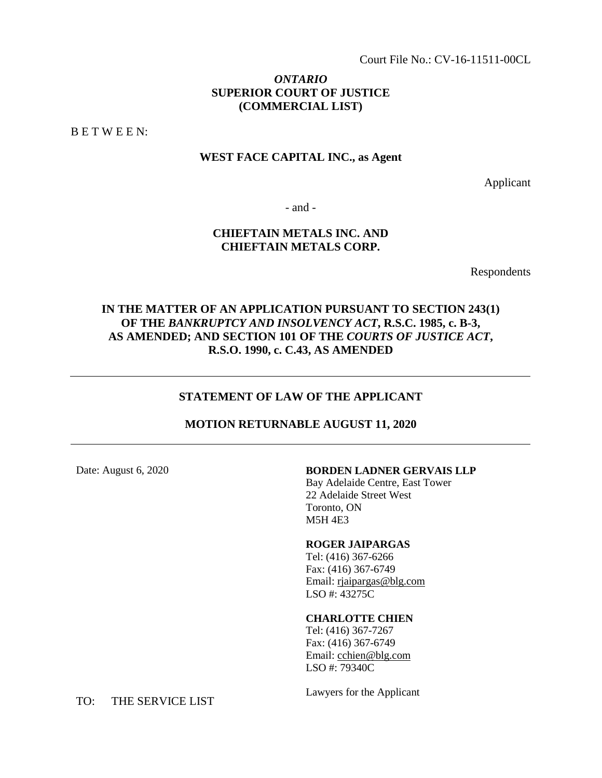Court File No.: CV-16-11511-00CL

### *ONTARIO*  **SUPERIOR COURT OF JUSTICE (COMMERCIAL LIST)**

B E T W E E N:

### **WEST FACE CAPITAL INC., as Agent**

Applicant

- and -

### **CHIEFTAIN METALS INC. AND CHIEFTAIN METALS CORP.**

Respondents

# **IN THE MATTER OF AN APPLICATION PURSUANT TO SECTION 243(1) OF THE** *BANKRUPTCY AND INSOLVENCY ACT***, R.S.C. 1985, c. B-3, AS AMENDED; AND SECTION 101 OF THE** *COURTS OF JUSTICE ACT***, R.S.O. 1990, c. C.43, AS AMENDED**

### **STATEMENT OF LAW OF THE APPLICANT**

### **MOTION RETURNABLE AUGUST 11, 2020**

### Date: August 6, 2020 **BORDEN LADNER GERVAIS LLP**

Bay Adelaide Centre, East Tower 22 Adelaide Street West Toronto, ON M5H 4E3

#### **ROGER JAIPARGAS**

Tel: (416) 367-6266 Fax: (416) 367-6749 Email: rjaipargas@blg.com LSO #: 43275C

#### **CHARLOTTE CHIEN**

Tel: (416) 367-7267 Fax: (416) 367-6749 Email: [cchien@blg.com](mailto:cchien@blg.com) LSO #: 79340C

Lawyers for the Applicant

TO: THE SERVICE LIST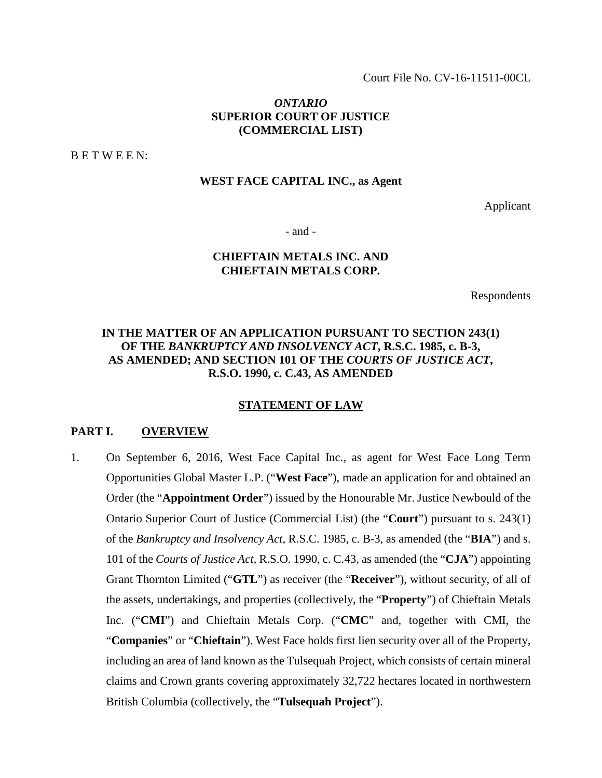Court File No. CV-16-11511-00CL

### *ONTARIO*  **SUPERIOR COURT OF JUSTICE (COMMERCIAL LIST)**

B E T W E E N:

### **WEST FACE CAPITAL INC., as Agent**

Applicant

- and -

### **CHIEFTAIN METALS INC. AND CHIEFTAIN METALS CORP.**

Respondents

# **IN THE MATTER OF AN APPLICATION PURSUANT TO SECTION 243(1) OF THE** *BANKRUPTCY AND INSOLVENCY ACT***, R.S.C. 1985, c. B-3, AS AMENDED; AND SECTION 101 OF THE** *COURTS OF JUSTICE ACT***, R.S.O. 1990, c. C.43, AS AMENDED**

### **STATEMENT OF LAW**

### **PART I. OVERVIEW**

1. On September 6, 2016, West Face Capital Inc., as agent for West Face Long Term Opportunities Global Master L.P. ("**West Face**"), made an application for and obtained an Order (the "**Appointment Order**") issued by the Honourable Mr. Justice Newbould of the Ontario Superior Court of Justice (Commercial List) (the "**Court**") pursuant to s. 243(1) of the *Bankruptcy and Insolvency Act*, R.S.C. 1985, c. B-3, as amended (the "**BIA**") and s. 101 of the *Courts of Justice Act*, R.S.O. 1990, c. C.43, as amended (the "**CJA**") appointing Grant Thornton Limited ("**GTL**") as receiver (the "**Receiver**"), without security, of all of the assets, undertakings, and properties (collectively, the "**Property**") of Chieftain Metals Inc. ("**CMI**") and Chieftain Metals Corp. ("**CMC**" and, together with CMI, the "**Companies**" or "**Chieftain**"). West Face holds first lien security over all of the Property, including an area of land known as the Tulsequah Project, which consists of certain mineral claims and Crown grants covering approximately 32,722 hectares located in northwestern British Columbia (collectively, the "**Tulsequah Project**").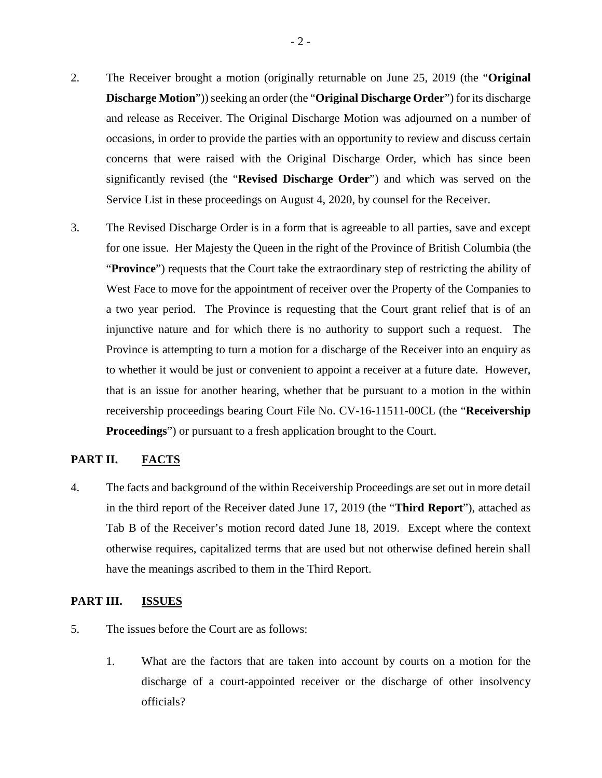- 2. The Receiver brought a motion (originally returnable on June 25, 2019 (the "**Original Discharge Motion**")) seeking an order (the "**Original Discharge Order**") for its discharge and release as Receiver. The Original Discharge Motion was adjourned on a number of occasions, in order to provide the parties with an opportunity to review and discuss certain concerns that were raised with the Original Discharge Order, which has since been significantly revised (the "**Revised Discharge Order**") and which was served on the Service List in these proceedings on August 4, 2020, by counsel for the Receiver.
- 3. The Revised Discharge Order is in a form that is agreeable to all parties, save and except for one issue. Her Majesty the Queen in the right of the Province of British Columbia (the "**Province**") requests that the Court take the extraordinary step of restricting the ability of West Face to move for the appointment of receiver over the Property of the Companies to a two year period. The Province is requesting that the Court grant relief that is of an injunctive nature and for which there is no authority to support such a request. The Province is attempting to turn a motion for a discharge of the Receiver into an enquiry as to whether it would be just or convenient to appoint a receiver at a future date. However, that is an issue for another hearing, whether that be pursuant to a motion in the within receivership proceedings bearing Court File No. CV-16-11511-00CL (the "**Receivership Proceedings**") or pursuant to a fresh application brought to the Court.

### **PART II. FACTS**

4. The facts and background of the within Receivership Proceedings are set out in more detail in the third report of the Receiver dated June 17, 2019 (the "**Third Report**"), attached as Tab B of the Receiver's motion record dated June 18, 2019. Except where the context otherwise requires, capitalized terms that are used but not otherwise defined herein shall have the meanings ascribed to them in the Third Report.

### **PART III. ISSUES**

- 5. The issues before the Court are as follows:
	- 1. What are the factors that are taken into account by courts on a motion for the discharge of a court-appointed receiver or the discharge of other insolvency officials?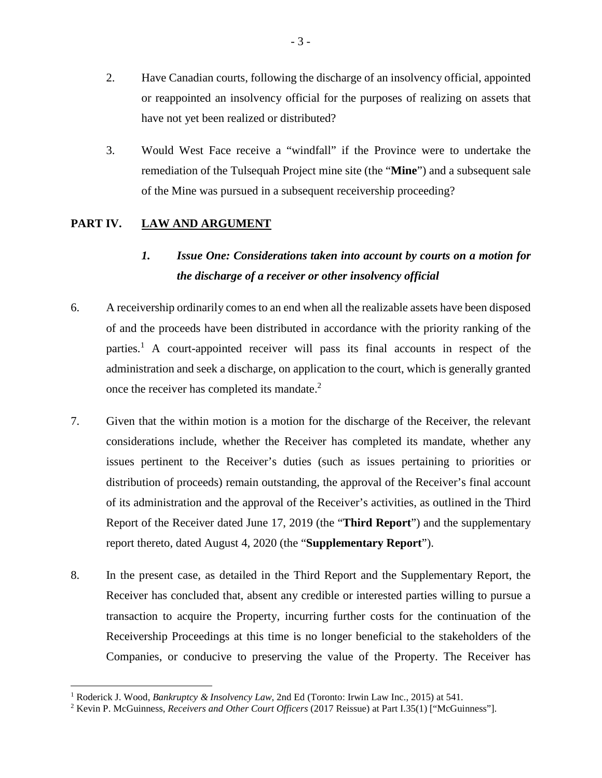- 2. Have Canadian courts, following the discharge of an insolvency official, appointed or reappointed an insolvency official for the purposes of realizing on assets that have not yet been realized or distributed?
- 3. Would West Face receive a "windfall" if the Province were to undertake the remediation of the Tulsequah Project mine site (the "**Mine**") and a subsequent sale of the Mine was pursued in a subsequent receivership proceeding?

# PART IV. LAW AND ARGUMENT

 $\overline{a}$ 

# *1. Issue One: Considerations taken into account by courts on a motion for the discharge of a receiver or other insolvency official*

- 6. A receivership ordinarily comes to an end when all the realizable assets have been disposed of and the proceeds have been distributed in accordance with the priority ranking of the parties.<sup>1</sup> A court-appointed receiver will pass its final accounts in respect of the administration and seek a discharge, on application to the court, which is generally granted once the receiver has completed its mandate. $2$
- 7. Given that the within motion is a motion for the discharge of the Receiver, the relevant considerations include, whether the Receiver has completed its mandate, whether any issues pertinent to the Receiver's duties (such as issues pertaining to priorities or distribution of proceeds) remain outstanding, the approval of the Receiver's final account of its administration and the approval of the Receiver's activities, as outlined in the Third Report of the Receiver dated June 17, 2019 (the "**Third Report**") and the supplementary report thereto, dated August 4, 2020 (the "**Supplementary Report**").
- 8. In the present case, as detailed in the Third Report and the Supplementary Report, the Receiver has concluded that, absent any credible or interested parties willing to pursue a transaction to acquire the Property, incurring further costs for the continuation of the Receivership Proceedings at this time is no longer beneficial to the stakeholders of the Companies, or conducive to preserving the value of the Property. The Receiver has

<sup>&</sup>lt;sup>1</sup> Roderick J. Wood, *Bankruptcy & Insolvency Law*, 2nd Ed (Toronto: Irwin Law Inc., 2015) at 541.

<sup>2</sup> Kevin P. McGuinness, *Receivers and Other Court Officers* (2017 Reissue) at Part I.35(1) ["McGuinness"].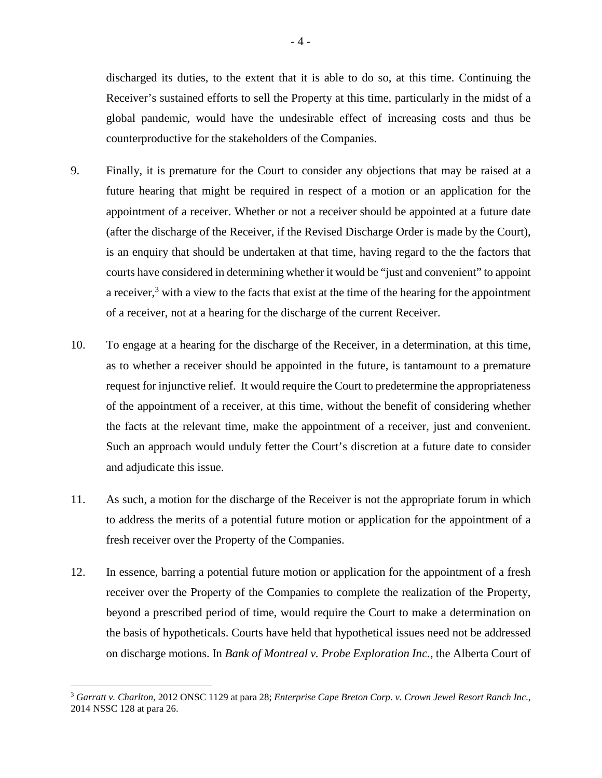discharged its duties, to the extent that it is able to do so, at this time. Continuing the Receiver's sustained efforts to sell the Property at this time, particularly in the midst of a global pandemic, would have the undesirable effect of increasing costs and thus be counterproductive for the stakeholders of the Companies.

- 9. Finally, it is premature for the Court to consider any objections that may be raised at a future hearing that might be required in respect of a motion or an application for the appointment of a receiver. Whether or not a receiver should be appointed at a future date (after the discharge of the Receiver, if the Revised Discharge Order is made by the Court), is an enquiry that should be undertaken at that time, having regard to the the factors that courts have considered in determining whether it would be "just and convenient" to appoint a receiver,<sup>3</sup> with a view to the facts that exist at the time of the hearing for the appointment of a receiver, not at a hearing for the discharge of the current Receiver.
- 10. To engage at a hearing for the discharge of the Receiver, in a determination, at this time, as to whether a receiver should be appointed in the future, is tantamount to a premature request for injunctive relief. It would require the Court to predetermine the appropriateness of the appointment of a receiver, at this time, without the benefit of considering whether the facts at the relevant time, make the appointment of a receiver, just and convenient. Such an approach would unduly fetter the Court's discretion at a future date to consider and adjudicate this issue.
- 11. As such, a motion for the discharge of the Receiver is not the appropriate forum in which to address the merits of a potential future motion or application for the appointment of a fresh receiver over the Property of the Companies.
- 12. In essence, barring a potential future motion or application for the appointment of a fresh receiver over the Property of the Companies to complete the realization of the Property, beyond a prescribed period of time, would require the Court to make a determination on the basis of hypotheticals. Courts have held that hypothetical issues need not be addressed on discharge motions. In *Bank of Montreal v. Probe Exploration Inc.*, the Alberta Court of

<sup>3</sup> *Garratt v. Charlton*, 2012 ONSC 1129 at para 28; *Enterprise Cape Breton Corp. v. Crown Jewel Resort Ranch Inc.*, 2014 NSSC 128 at para 26.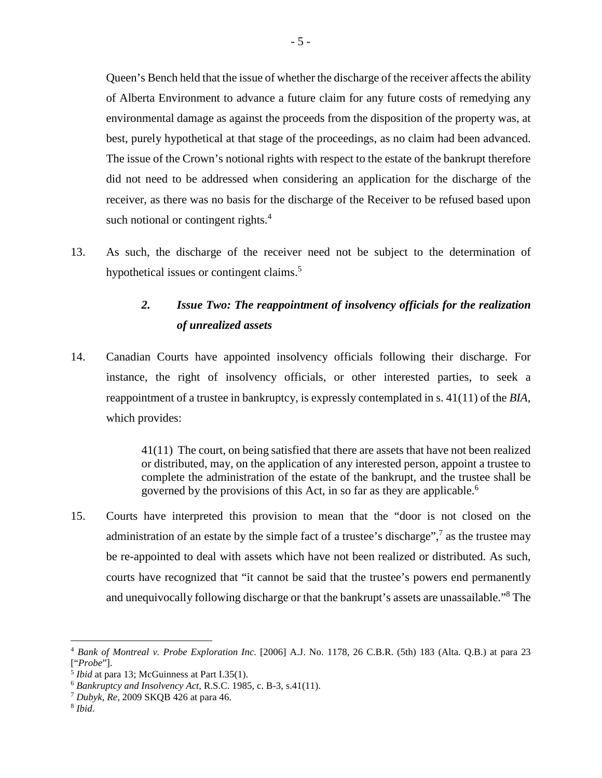Queen's Bench held that the issue of whether the discharge of the receiver affects the ability of Alberta Environment to advance a future claim for any future costs of remedying any environmental damage as against the proceeds from the disposition of the property was, at best, purely hypothetical at that stage of the proceedings, as no claim had been advanced. The issue of the Crown's notional rights with respect to the estate of the bankrupt therefore did not need to be addressed when considering an application for the discharge of the receiver, as there was no basis for the discharge of the Receiver to be refused based upon such notional or contingent rights.<sup>4</sup>

13. As such, the discharge of the receiver need not be subject to the determination of hypothetical issues or contingent claims.<sup>5</sup>

# *2. Issue Two: The reappointment of insolvency officials for the realization of unrealized assets*

14. Canadian Courts have appointed insolvency officials following their discharge. For instance, the right of insolvency officials, or other interested parties, to seek a reappointment of a trustee in bankruptcy, is expressly contemplated in s. 41(11) of the *BIA*, which provides:

> 41(11) The court, on being satisfied that there are assets that have not been realized or distributed, may, on the application of any interested person, appoint a trustee to complete the administration of the estate of the bankrupt, and the trustee shall be governed by the provisions of this Act, in so far as they are applicable.<sup>6</sup>

15. Courts have interpreted this provision to mean that the "door is not closed on the administration of an estate by the simple fact of a trustee's discharge", $\frac{7}{1}$  as the trustee may be re-appointed to deal with assets which have not been realized or distributed. As such, courts have recognized that "it cannot be said that the trustee's powers end permanently and unequivocally following discharge or that the bankrupt's assets are unassailable."<sup>8</sup> The

<sup>4</sup> *Bank of Montreal v. Probe Exploration Inc.* [2006] A.J. No. 1178, 26 C.B.R. (5th) 183 (Alta. Q.B.) at para 23 ["*Probe*"].

<sup>5</sup> *Ibid* at para 13; McGuinness at Part I.35(1).

<sup>6</sup> *Bankruptcy and Insolvency Act*, R.S.C. 1985, c. B-3, s.41(11).

<sup>7</sup> *Dubyk, Re*, 2009 SKQB 426 at para 46.

<sup>8</sup> *Ibid*.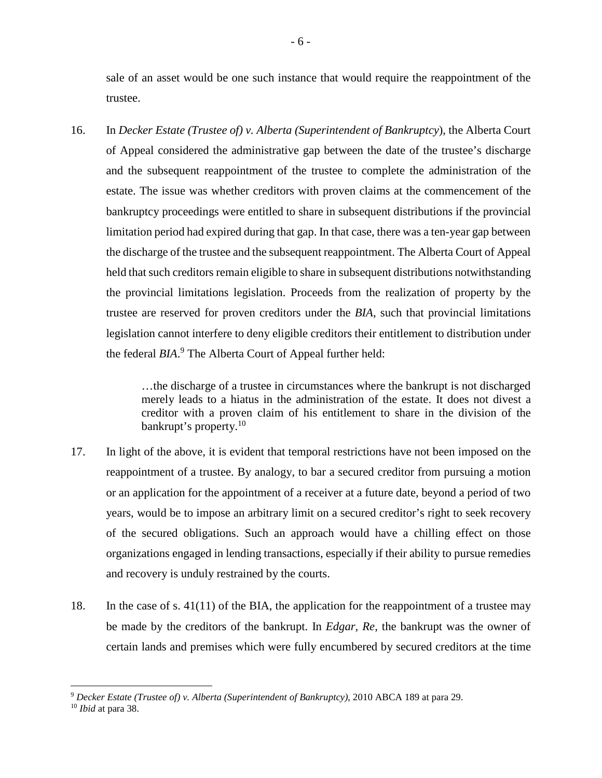sale of an asset would be one such instance that would require the reappointment of the trustee.

16. In *Decker Estate (Trustee of) v. Alberta (Superintendent of Bankruptcy*), the Alberta Court of Appeal considered the administrative gap between the date of the trustee's discharge and the subsequent reappointment of the trustee to complete the administration of the estate. The issue was whether creditors with proven claims at the commencement of the bankruptcy proceedings were entitled to share in subsequent distributions if the provincial limitation period had expired during that gap. In that case, there was a ten-year gap between the discharge of the trustee and the subsequent reappointment. The Alberta Court of Appeal held that such creditors remain eligible to share in subsequent distributions notwithstanding the provincial limitations legislation. Proceeds from the realization of property by the trustee are reserved for proven creditors under the *BIA*, such that provincial limitations legislation cannot interfere to deny eligible creditors their entitlement to distribution under the federal *BIA*. 9 The Alberta Court of Appeal further held:

> …the discharge of a trustee in circumstances where the bankrupt is not discharged merely leads to a hiatus in the administration of the estate. It does not divest a creditor with a proven claim of his entitlement to share in the division of the bankrupt's property.<sup>10</sup>

- 17. In light of the above, it is evident that temporal restrictions have not been imposed on the reappointment of a trustee. By analogy, to bar a secured creditor from pursuing a motion or an application for the appointment of a receiver at a future date, beyond a period of two years, would be to impose an arbitrary limit on a secured creditor's right to seek recovery of the secured obligations. Such an approach would have a chilling effect on those organizations engaged in lending transactions, especially if their ability to pursue remedies and recovery is unduly restrained by the courts.
- 18. In the case of s. 41(11) of the BIA, the application for the reappointment of a trustee may be made by the creditors of the bankrupt. In *Edgar, Re*, the bankrupt was the owner of certain lands and premises which were fully encumbered by secured creditors at the time

<sup>9</sup> *Decker Estate (Trustee of) v. Alberta (Superintendent of Bankruptcy)*, 2010 ABCA 189 at para 29.

<sup>10</sup> *Ibid* at para 38.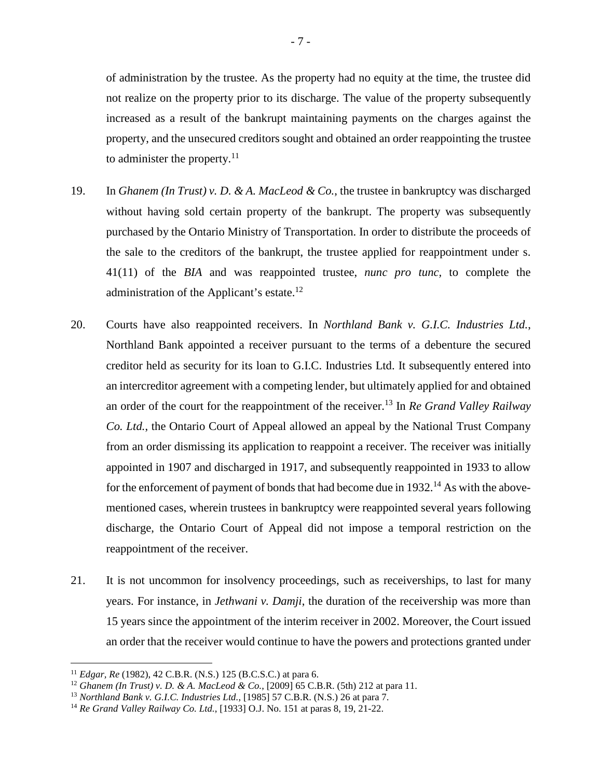of administration by the trustee. As the property had no equity at the time, the trustee did not realize on the property prior to its discharge. The value of the property subsequently increased as a result of the bankrupt maintaining payments on the charges against the property, and the unsecured creditors sought and obtained an order reappointing the trustee to administer the property. $11$ 

- 19. In *Ghanem (In Trust) v. D. & A. MacLeod & Co.*, the trustee in bankruptcy was discharged without having sold certain property of the bankrupt. The property was subsequently purchased by the Ontario Ministry of Transportation. In order to distribute the proceeds of the sale to the creditors of the bankrupt, the trustee applied for reappointment under s. 41(11) of the *BIA* and was reappointed trustee, *nunc pro tunc,* to complete the administration of the Applicant's estate. $12$
- 20. Courts have also reappointed receivers. In *Northland Bank v. G.I.C. Industries Ltd.*, Northland Bank appointed a receiver pursuant to the terms of a debenture the secured creditor held as security for its loan to G.I.C. Industries Ltd. It subsequently entered into an intercreditor agreement with a competing lender, but ultimately applied for and obtained an order of the court for the reappointment of the receiver.<sup>13</sup> In *Re Grand Valley Railway Co. Ltd.*, the Ontario Court of Appeal allowed an appeal by the National Trust Company from an order dismissing its application to reappoint a receiver. The receiver was initially appointed in 1907 and discharged in 1917, and subsequently reappointed in 1933 to allow for the enforcement of payment of bonds that had become due in  $1932$ .<sup>14</sup> As with the abovementioned cases, wherein trustees in bankruptcy were reappointed several years following discharge, the Ontario Court of Appeal did not impose a temporal restriction on the reappointment of the receiver.
- 21. It is not uncommon for insolvency proceedings, such as receiverships, to last for many years. For instance, in *Jethwani v. Damji*, the duration of the receivership was more than 15 years since the appointment of the interim receiver in 2002. Moreover, the Court issued an order that the receiver would continue to have the powers and protections granted under

<sup>11</sup> *Edgar, Re* (1982), 42 C.B.R. (N.S.) 125 (B.C.S.C.) at para 6.

<sup>12</sup> *Ghanem (In Trust) v. D. & A. MacLeod & Co.*, [2009] 65 C.B.R. (5th) 212 at para 11.

<sup>13</sup> *Northland Bank v. G.I.C. Industries Ltd.*, [1985] 57 C.B.R. (N.S.) 26 at para 7.

<sup>14</sup> *Re Grand Valley Railway Co. Ltd.*, [1933] O.J. No. 151 at paras 8, 19, 21-22.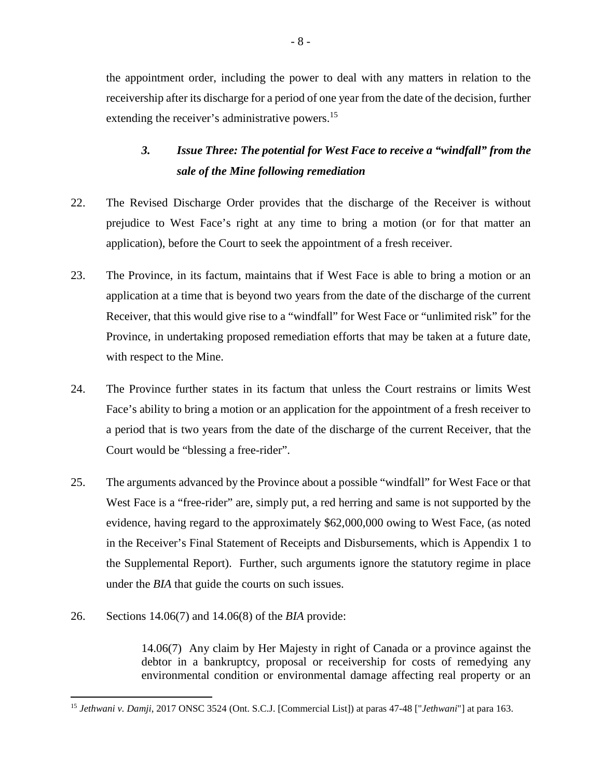the appointment order, including the power to deal with any matters in relation to the receivership after its discharge for a period of one year from the date of the decision, further extending the receiver's administrative powers.<sup>15</sup>

# *3. Issue Three: The potential for West Face to receive a "windfall" from the sale of the Mine following remediation*

- 22. The Revised Discharge Order provides that the discharge of the Receiver is without prejudice to West Face's right at any time to bring a motion (or for that matter an application), before the Court to seek the appointment of a fresh receiver.
- 23. The Province, in its factum, maintains that if West Face is able to bring a motion or an application at a time that is beyond two years from the date of the discharge of the current Receiver, that this would give rise to a "windfall" for West Face or "unlimited risk" for the Province, in undertaking proposed remediation efforts that may be taken at a future date, with respect to the Mine.
- 24. The Province further states in its factum that unless the Court restrains or limits West Face's ability to bring a motion or an application for the appointment of a fresh receiver to a period that is two years from the date of the discharge of the current Receiver, that the Court would be "blessing a free-rider".
- 25. The arguments advanced by the Province about a possible "windfall" for West Face or that West Face is a "free-rider" are, simply put, a red herring and same is not supported by the evidence, having regard to the approximately \$62,000,000 owing to West Face, (as noted in the Receiver's Final Statement of Receipts and Disbursements, which is Appendix 1 to the Supplemental Report). Further, such arguments ignore the statutory regime in place under the *BIA* that guide the courts on such issues.
- 26. Sections 14.06(7) and 14.06(8) of the *BIA* provide:

14.06(7) Any claim by Her Majesty in right of Canada or a province against the debtor in a bankruptcy, proposal or receivership for costs of remedying any environmental condition or environmental damage affecting real property or an

 $\overline{a}$ <sup>15</sup> *Jethwani v. Damji*, 2017 ONSC 3524 (Ont. S.C.J. [Commercial List]) at paras 47-48 ["*Jethwani*"] at para 163.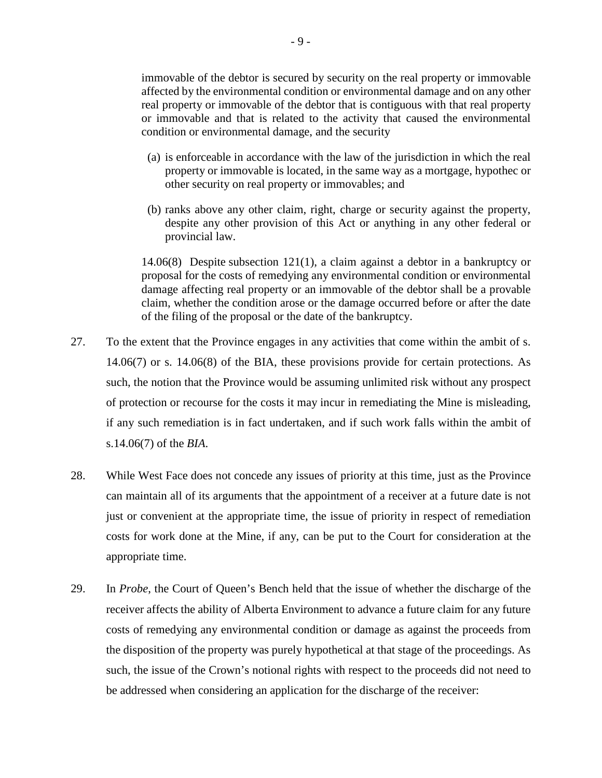immovable of the debtor is secured by security on the real property or immovable affected by the environmental condition or environmental damage and on any other real property or immovable of the debtor that is contiguous with that real property or immovable and that is related to the activity that caused the environmental condition or environmental damage, and the security

- (a) is enforceable in accordance with the law of the jurisdiction in which the real property or immovable is located, in the same way as a mortgage, hypothec or other security on real property or immovables; and
- (b) ranks above any other claim, right, charge or security against the property, despite any other provision of this Act or anything in any other federal or provincial law.

14.06(8) Despite subsection 121(1), a claim against a debtor in a bankruptcy or proposal for the costs of remedying any environmental condition or environmental damage affecting real property or an immovable of the debtor shall be a provable claim, whether the condition arose or the damage occurred before or after the date of the filing of the proposal or the date of the bankruptcy.

- 27. To the extent that the Province engages in any activities that come within the ambit of s. 14.06(7) or s. 14.06(8) of the BIA, these provisions provide for certain protections. As such, the notion that the Province would be assuming unlimited risk without any prospect of protection or recourse for the costs it may incur in remediating the Mine is misleading, if any such remediation is in fact undertaken, and if such work falls within the ambit of s.14.06(7) of the *BIA*.
- 28. While West Face does not concede any issues of priority at this time, just as the Province can maintain all of its arguments that the appointment of a receiver at a future date is not just or convenient at the appropriate time, the issue of priority in respect of remediation costs for work done at the Mine, if any, can be put to the Court for consideration at the appropriate time.
- 29. In *Probe*, the Court of Queen's Bench held that the issue of whether the discharge of the receiver affects the ability of Alberta Environment to advance a future claim for any future costs of remedying any environmental condition or damage as against the proceeds from the disposition of the property was purely hypothetical at that stage of the proceedings. As such, the issue of the Crown's notional rights with respect to the proceeds did not need to be addressed when considering an application for the discharge of the receiver: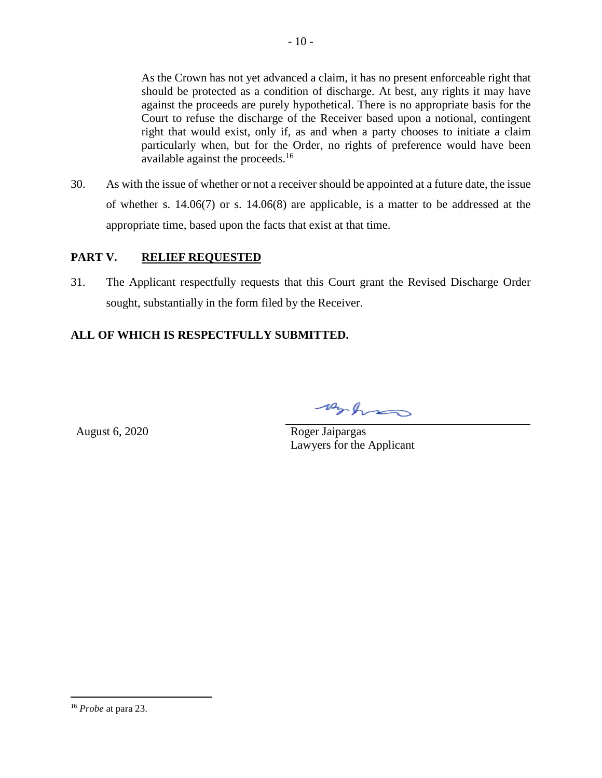As the Crown has not yet advanced a claim, it has no present enforceable right that should be protected as a condition of discharge. At best, any rights it may have against the proceeds are purely hypothetical. There is no appropriate basis for the Court to refuse the discharge of the Receiver based upon a notional, contingent right that would exist, only if, as and when a party chooses to initiate a claim particularly when, but for the Order, no rights of preference would have been available against the proceeds.<sup>16</sup>

30. As with the issue of whether or not a receiver should be appointed at a future date, the issue of whether s. 14.06(7) or s. 14.06(8) are applicable, is a matter to be addressed at the appropriate time, based upon the facts that exist at that time.

# **PART V. RELIEF REQUESTED**

31. The Applicant respectfully requests that this Court grant the Revised Discharge Order sought, substantially in the form filed by the Receiver.

# **ALL OF WHICH IS RESPECTFULLY SUBMITTED.**

Arhim

August 6, 2020 Roger Jaipargas Lawyers for the Applicant

<sup>16</sup> *Probe* at para 23.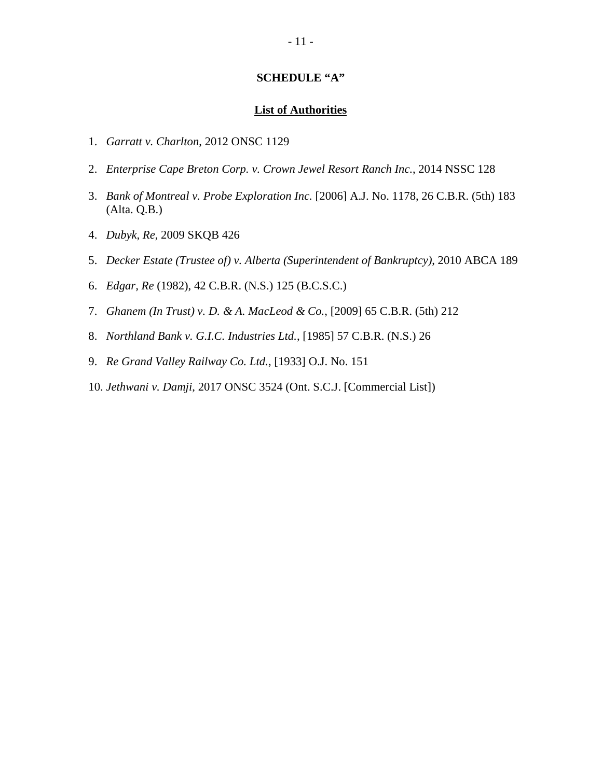### **SCHEDULE "A"**

### **List of Authorities**

- 1. *Garratt v. Charlton*, 2012 ONSC 1129
- 2. *Enterprise Cape Breton Corp. v. Crown Jewel Resort Ranch Inc.*, 2014 NSSC 128
- 3. *Bank of Montreal v. Probe Exploration Inc.* [2006] A.J. No. 1178, 26 C.B.R. (5th) 183 (Alta. Q.B.)
- 4. *Dubyk, Re*, 2009 SKQB 426
- 5. *Decker Estate (Trustee of) v. Alberta (Superintendent of Bankruptcy)*, 2010 ABCA 189
- 6. *Edgar, Re* (1982), 42 C.B.R. (N.S.) 125 (B.C.S.C.)
- 7. *Ghanem (In Trust) v. D. & A. MacLeod & Co.*, [2009] 65 C.B.R. (5th) 212
- 8. *Northland Bank v. G.I.C. Industries Ltd.*, [1985] 57 C.B.R. (N.S.) 26
- 9. *Re Grand Valley Railway Co. Ltd.*, [1933] O.J. No. 151
- 10. *Jethwani v. Damji*, 2017 ONSC 3524 (Ont. S.C.J. [Commercial List])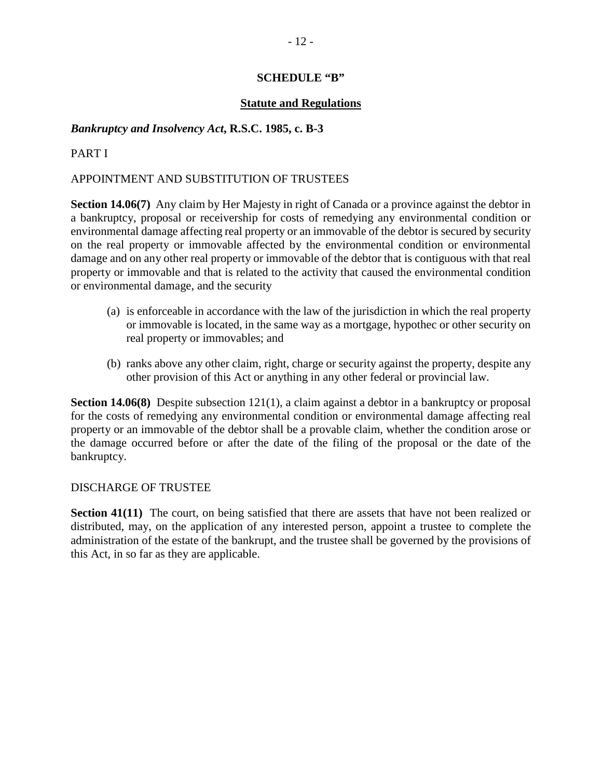# **SCHEDULE "B"**

# **Statute and Regulations**

# *Bankruptcy and Insolvency Act***, R.S.C. 1985, c. B-3**

# PART I

# APPOINTMENT AND SUBSTITUTION OF TRUSTEES

**Section 14.06(7)** Any claim by Her Majesty in right of Canada or a province against the debtor in a bankruptcy, proposal or receivership for costs of remedying any environmental condition or environmental damage affecting real property or an immovable of the debtor is secured by security on the real property or immovable affected by the environmental condition or environmental damage and on any other real property or immovable of the debtor that is contiguous with that real property or immovable and that is related to the activity that caused the environmental condition or environmental damage, and the security

- (a) is enforceable in accordance with the law of the jurisdiction in which the real property or immovable is located, in the same way as a mortgage, hypothec or other security on real property or immovables; and
- (b) ranks above any other claim, right, charge or security against the property, despite any other provision of this Act or anything in any other federal or provincial law.

**Section 14.06(8)** Despite subsection 121(1), a claim against a debtor in a bankruptcy or proposal for the costs of remedying any environmental condition or environmental damage affecting real property or an immovable of the debtor shall be a provable claim, whether the condition arose or the damage occurred before or after the date of the filing of the proposal or the date of the bankruptcy.

### DISCHARGE OF TRUSTEE

**Section 41(11)** The court, on being satisfied that there are assets that have not been realized or distributed, may, on the application of any interested person, appoint a trustee to complete the administration of the estate of the bankrupt, and the trustee shall be governed by the provisions of this Act, in so far as they are applicable.